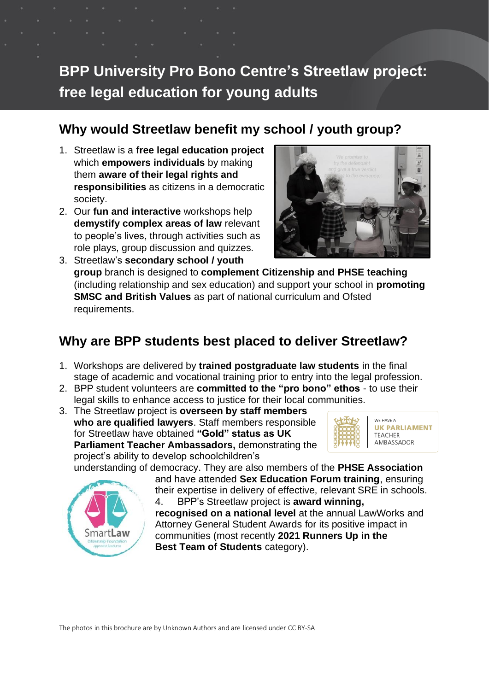# **BPP University Pro Bono Centre's Streetlaw project: free legal education for young adults**

### **Why would Streetlaw benefit my school / youth group?**

- 1. Streetlaw is a **free legal education project** which **empowers individuals** by making them **aware of their legal rights and responsibilities** as citizens in a democratic society.
- 2. Our **fun and interactive** workshops help **demystify complex areas of law** relevant to people's lives, through activities such as role plays, group discussion and quizzes.



3. Streetlaw's **secondary school / youth group** branch is designed to **complement Citizenship and PHSE teaching**  (including relationship and sex education) and support your school in **promoting SMSC and British Values** as part of national curriculum and Ofsted requirements.

## **Why are BPP students best placed to deliver Streetlaw?**

- 1. Workshops are delivered by **trained postgraduate law students** in the final stage of academic and vocational training prior to entry into the legal profession.
- 2. BPP student volunteers are **committed to the "pro bono" ethos** to use their legal skills to enhance access to justice for their local communities.
- 3. The Streetlaw project is **overseen by staff members who are qualified lawyers**. Staff members responsible for Streetlaw have obtained **"Gold" status as UK Parliament Teacher Ambassadors,** demonstrating the project's ability to develop schoolchildren's



**UK PARLIAMENT** AMBASSADOR

understanding of democracy. They are also members of the **PHSE Association**



and have attended **Sex Education Forum training**, ensuring their expertise in delivery of effective, relevant SRE in schools. 4. BPP's Streetlaw project is **award winning,** 

**recognised on a national level** at the annual LawWorks and Attorney General Student Awards for its positive impact in communities (most recently **2021 Runners Up in the Best Team of Students** category).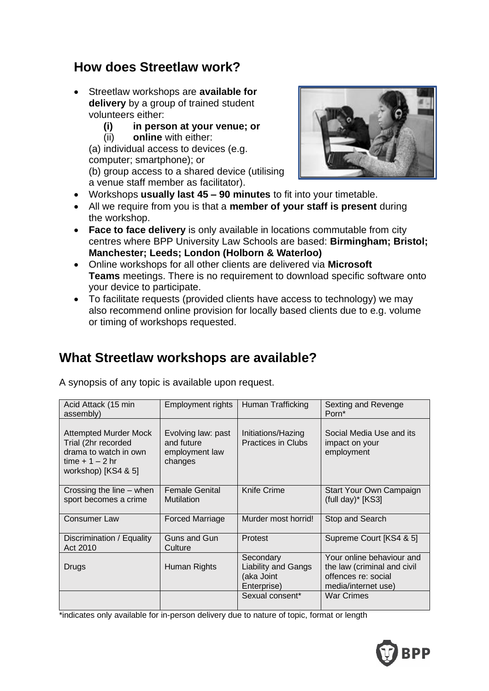#### **How does Streetlaw work?**

- Streetlaw workshops are **available for delivery** by a group of trained student volunteers either:
	- **(i) in person at your venue; or**
	- (ii) **online** with either:

(a) individual access to devices (e.g. computer; smartphone); or (b) group access to a shared device (utilising a venue staff member as facilitator).



- Workshops **usually last 45 – 90 minutes** to fit into your timetable.
- All we require from you is that a **member of your staff is present** during the workshop.
- **Face to face delivery** is only available in locations commutable from city centres where BPP University Law Schools are based: **Birmingham; Bristol; Manchester; Leeds; London (Holborn & Waterloo)**
- Online workshops for all other clients are delivered via **Microsoft Teams** meetings. There is no requirement to download specific software onto your device to participate.
- To facilitate requests (provided clients have access to technology) we may also recommend online provision for locally based clients due to e.g. volume or timing of workshops requested.

## **What Streetlaw workshops are available?**

| Acid Attack (15 min<br>assembly)                                                                                      | Employment rights                                             | Human Trafficking                                                    | Sexting and Revenge<br>Porn*                                                                           |
|-----------------------------------------------------------------------------------------------------------------------|---------------------------------------------------------------|----------------------------------------------------------------------|--------------------------------------------------------------------------------------------------------|
| <b>Attempted Murder Mock</b><br>Trial (2hr recorded<br>drama to watch in own<br>time $+1-2$ hr<br>workshop) [KS4 & 5] | Evolving law: past<br>and future<br>employment law<br>changes | Initiations/Hazing<br><b>Practices in Clubs</b>                      | Social Media Use and its<br>impact on your<br>employment                                               |
| Crossing the line - when<br>sport becomes a crime                                                                     | <b>Female Genital</b><br>Mutilation                           | Knife Crime                                                          | Start Your Own Campaign<br>(full day)* [KS3]                                                           |
| <b>Consumer Law</b>                                                                                                   | <b>Forced Marriage</b>                                        | Murder most horrid!                                                  | Stop and Search                                                                                        |
| Discrimination / Equality<br>Act 2010                                                                                 | Guns and Gun<br>Culture                                       | Protest                                                              | Supreme Court [KS4 & 5]                                                                                |
| Drugs                                                                                                                 | Human Rights                                                  | Secondary<br><b>Liability and Gangs</b><br>(aka Joint<br>Enterprise) | Your online behaviour and<br>the law (criminal and civil<br>offences re: social<br>media/internet use) |
|                                                                                                                       |                                                               | Sexual consent*                                                      | <b>War Crimes</b>                                                                                      |

A synopsis of any topic is available upon request.

\*indicates only available for in-person delivery due to nature of topic, format or length